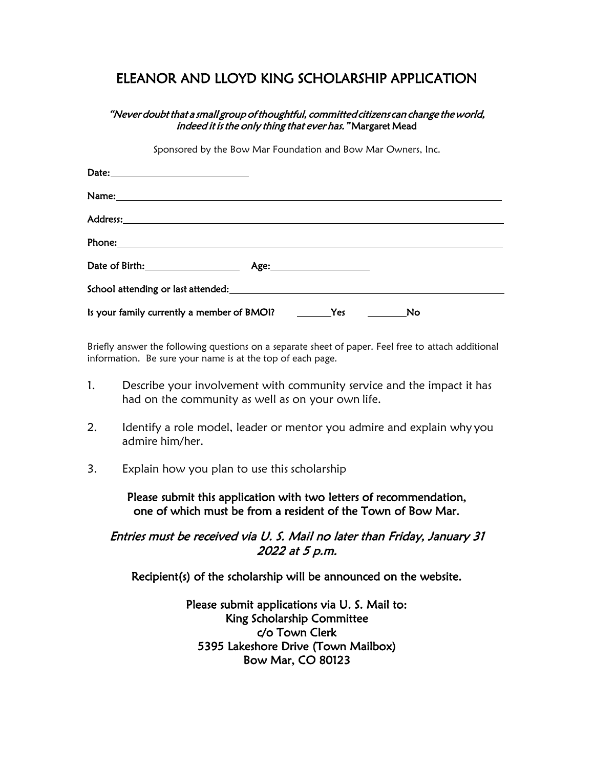## ELEANOR AND LLOYD KING SCHOLARSHIP APPLICATION

## "Never doubt that a small group of thoughtful, committed citizens can change the world, indeed it is the only thing that ever has. "Margaret Mead

Sponsored by the Bow Mar Foundation and Bow Mar Owners, Inc.

| Date of Birth: Age: Age:                   |                      |    |  |
|--------------------------------------------|----------------------|----|--|
|                                            |                      |    |  |
| Is your family currently a member of BMOI? | <b>Example 2</b> Yes | No |  |

Briefly answer the following questions on a separate sheet of paper. Feel free to attach additional information. Be sure your name is at the top of each page.

- 1. Describe your involvement with community service and the impact it has had on the community as well as on your own life.
- 2. Identify a role model, leader or mentor you admire and explain why you admire him/her.
- 3. Explain how you plan to use this scholarship

Please submit this application with two letters of recommendation, one of which must be from a resident of the Town of Bow Mar.

## Entries must be received via U. S. Mail no later than Friday, January 31 2022 at 5 p.m.

Recipient(s) of the scholarship will be announced on the website.

Please submit applications via U. S. Mail to: King Scholarship Committee c/o Town Clerk 5395 Lakeshore Drive (Town Mailbox) Bow Mar, CO 80123